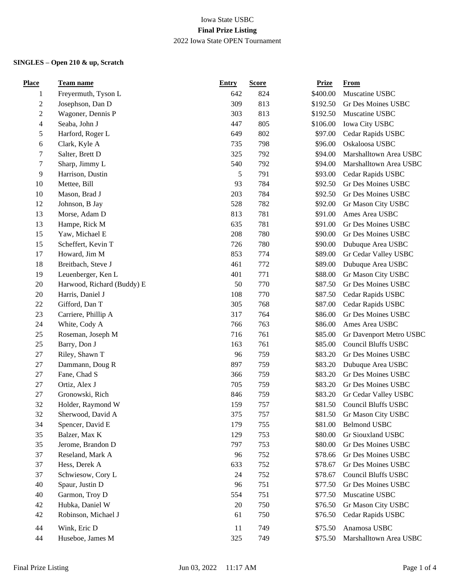| Freyermuth, Tyson L<br>824<br>\$400.00<br>Muscatine USBC<br>642<br>$\mathbf{1}$<br>$\mathbf{2}$<br>Josephson, Dan D<br>309<br>813<br>\$192.50<br>Gr Des Moines USBC<br>$\mathbf{2}$<br>Wagoner, Dennis P<br>303<br>813<br>\$192.50<br>Muscatine USBC<br>$\overline{\mathbf{4}}$<br>Seaba, John J<br>447<br>805<br>Iowa City USBC<br>\$106.00<br>$\mathfrak s$<br>802<br>649<br>\$97.00<br>Harford, Roger L<br>Cedar Rapids USBC<br>6<br>Clark, Kyle A<br>735<br>798<br>\$96.00<br>Oskaloosa USBC<br>7<br>Salter, Brett D<br>325<br>792<br>\$94.00<br>Marshalltown Area USBC<br>$\tau$<br>Sharp, Jimmy L<br>540<br>792<br>Marshalltown Area USBC<br>\$94.00<br>9<br>5<br>791<br>Harrison, Dustin<br>\$93.00<br>Cedar Rapids USBC<br>10<br>93<br>784<br>\$92.50<br>Gr Des Moines USBC<br>Mettee, Bill<br>10<br>Mason, Brad J<br>203<br>784<br>\$92.50<br>Gr Des Moines USBC<br>12<br>782<br>Johnson, B Jay<br>528<br>\$92.00<br>Gr Mason City USBC<br>13<br>781<br>Morse, Adam D<br>813<br>\$91.00<br>Ames Area USBC<br>13<br>Hampe, Rick M<br>635<br>781<br>\$91.00<br>Gr Des Moines USBC<br>Yaw, Michael E<br>15<br>208<br>780<br>\$90.00<br>Gr Des Moines USBC<br>15<br>Scheffert, Kevin T<br>726<br>780<br>\$90.00<br>Dubuque Area USBC<br>17<br>Howard, Jim M<br>853<br>774<br>\$89.00<br>Gr Cedar Valley USBC<br>18<br>Breitbach, Steve J<br>461<br>\$89.00<br>Dubuque Area USBC<br>772<br>19<br>Leuenberger, Ken L<br>401<br>771<br>\$88.00<br>Gr Mason City USBC<br>20<br>Harwood, Richard (Buddy) E<br>50<br>770<br>Gr Des Moines USBC<br>\$87.50<br>20<br>Harris, Daniel J<br>108<br>770<br>Cedar Rapids USBC<br>\$87.50<br>22<br>Gifford, Dan T<br>305<br>768<br>\$87.00<br>Cedar Rapids USBC<br>Gr Des Moines USBC<br>23<br>Carriere, Phillip A<br>317<br>764<br>\$86.00<br>24<br>White, Cody A<br>763<br>Ames Area USBC<br>766<br>\$86.00<br>25<br>Roseman, Joseph M<br>716<br>761<br>\$85.00<br>Gr Davenport Metro USBC<br>25<br>Barry, Don J<br>163<br>\$85.00<br><b>Council Bluffs USBC</b><br>761<br>$27\,$<br>Riley, Shawn T<br>96<br>759<br>\$83.20<br>Gr Des Moines USBC<br>27<br>Dammann, Doug R<br>897<br>759<br>\$83.20<br>Dubuque Area USBC<br>Fane, Chad S<br>27<br>759<br>\$83.20<br>Gr Des Moines USBC<br>366<br>$27\,$<br>Ortiz, Alex J<br>705<br>\$83.20<br>Gr Des Moines USBC<br>759<br>$27\,$<br>Gronowski, Rich<br>846<br>759<br>\$83.20<br>Gr Cedar Valley USBC<br>32<br>757<br><b>Council Bluffs USBC</b><br>Holder, Raymond W<br>159<br>\$81.50<br>32<br>375<br>757<br>\$81.50<br>Gr Mason City USBC<br>Sherwood, David A |
|------------------------------------------------------------------------------------------------------------------------------------------------------------------------------------------------------------------------------------------------------------------------------------------------------------------------------------------------------------------------------------------------------------------------------------------------------------------------------------------------------------------------------------------------------------------------------------------------------------------------------------------------------------------------------------------------------------------------------------------------------------------------------------------------------------------------------------------------------------------------------------------------------------------------------------------------------------------------------------------------------------------------------------------------------------------------------------------------------------------------------------------------------------------------------------------------------------------------------------------------------------------------------------------------------------------------------------------------------------------------------------------------------------------------------------------------------------------------------------------------------------------------------------------------------------------------------------------------------------------------------------------------------------------------------------------------------------------------------------------------------------------------------------------------------------------------------------------------------------------------------------------------------------------------------------------------------------------------------------------------------------------------------------------------------------------------------------------------------------------------------------------------------------------------------------------------------------------------------------------------------------------------------------------------------------------------------------------------------------------------------------------------------------------------------------------------------------------------------------------------------------------------------------------------------------|
|                                                                                                                                                                                                                                                                                                                                                                                                                                                                                                                                                                                                                                                                                                                                                                                                                                                                                                                                                                                                                                                                                                                                                                                                                                                                                                                                                                                                                                                                                                                                                                                                                                                                                                                                                                                                                                                                                                                                                                                                                                                                                                                                                                                                                                                                                                                                                                                                                                                                                                                                                            |
|                                                                                                                                                                                                                                                                                                                                                                                                                                                                                                                                                                                                                                                                                                                                                                                                                                                                                                                                                                                                                                                                                                                                                                                                                                                                                                                                                                                                                                                                                                                                                                                                                                                                                                                                                                                                                                                                                                                                                                                                                                                                                                                                                                                                                                                                                                                                                                                                                                                                                                                                                            |
|                                                                                                                                                                                                                                                                                                                                                                                                                                                                                                                                                                                                                                                                                                                                                                                                                                                                                                                                                                                                                                                                                                                                                                                                                                                                                                                                                                                                                                                                                                                                                                                                                                                                                                                                                                                                                                                                                                                                                                                                                                                                                                                                                                                                                                                                                                                                                                                                                                                                                                                                                            |
|                                                                                                                                                                                                                                                                                                                                                                                                                                                                                                                                                                                                                                                                                                                                                                                                                                                                                                                                                                                                                                                                                                                                                                                                                                                                                                                                                                                                                                                                                                                                                                                                                                                                                                                                                                                                                                                                                                                                                                                                                                                                                                                                                                                                                                                                                                                                                                                                                                                                                                                                                            |
|                                                                                                                                                                                                                                                                                                                                                                                                                                                                                                                                                                                                                                                                                                                                                                                                                                                                                                                                                                                                                                                                                                                                                                                                                                                                                                                                                                                                                                                                                                                                                                                                                                                                                                                                                                                                                                                                                                                                                                                                                                                                                                                                                                                                                                                                                                                                                                                                                                                                                                                                                            |
|                                                                                                                                                                                                                                                                                                                                                                                                                                                                                                                                                                                                                                                                                                                                                                                                                                                                                                                                                                                                                                                                                                                                                                                                                                                                                                                                                                                                                                                                                                                                                                                                                                                                                                                                                                                                                                                                                                                                                                                                                                                                                                                                                                                                                                                                                                                                                                                                                                                                                                                                                            |
|                                                                                                                                                                                                                                                                                                                                                                                                                                                                                                                                                                                                                                                                                                                                                                                                                                                                                                                                                                                                                                                                                                                                                                                                                                                                                                                                                                                                                                                                                                                                                                                                                                                                                                                                                                                                                                                                                                                                                                                                                                                                                                                                                                                                                                                                                                                                                                                                                                                                                                                                                            |
|                                                                                                                                                                                                                                                                                                                                                                                                                                                                                                                                                                                                                                                                                                                                                                                                                                                                                                                                                                                                                                                                                                                                                                                                                                                                                                                                                                                                                                                                                                                                                                                                                                                                                                                                                                                                                                                                                                                                                                                                                                                                                                                                                                                                                                                                                                                                                                                                                                                                                                                                                            |
|                                                                                                                                                                                                                                                                                                                                                                                                                                                                                                                                                                                                                                                                                                                                                                                                                                                                                                                                                                                                                                                                                                                                                                                                                                                                                                                                                                                                                                                                                                                                                                                                                                                                                                                                                                                                                                                                                                                                                                                                                                                                                                                                                                                                                                                                                                                                                                                                                                                                                                                                                            |
|                                                                                                                                                                                                                                                                                                                                                                                                                                                                                                                                                                                                                                                                                                                                                                                                                                                                                                                                                                                                                                                                                                                                                                                                                                                                                                                                                                                                                                                                                                                                                                                                                                                                                                                                                                                                                                                                                                                                                                                                                                                                                                                                                                                                                                                                                                                                                                                                                                                                                                                                                            |
|                                                                                                                                                                                                                                                                                                                                                                                                                                                                                                                                                                                                                                                                                                                                                                                                                                                                                                                                                                                                                                                                                                                                                                                                                                                                                                                                                                                                                                                                                                                                                                                                                                                                                                                                                                                                                                                                                                                                                                                                                                                                                                                                                                                                                                                                                                                                                                                                                                                                                                                                                            |
|                                                                                                                                                                                                                                                                                                                                                                                                                                                                                                                                                                                                                                                                                                                                                                                                                                                                                                                                                                                                                                                                                                                                                                                                                                                                                                                                                                                                                                                                                                                                                                                                                                                                                                                                                                                                                                                                                                                                                                                                                                                                                                                                                                                                                                                                                                                                                                                                                                                                                                                                                            |
|                                                                                                                                                                                                                                                                                                                                                                                                                                                                                                                                                                                                                                                                                                                                                                                                                                                                                                                                                                                                                                                                                                                                                                                                                                                                                                                                                                                                                                                                                                                                                                                                                                                                                                                                                                                                                                                                                                                                                                                                                                                                                                                                                                                                                                                                                                                                                                                                                                                                                                                                                            |
|                                                                                                                                                                                                                                                                                                                                                                                                                                                                                                                                                                                                                                                                                                                                                                                                                                                                                                                                                                                                                                                                                                                                                                                                                                                                                                                                                                                                                                                                                                                                                                                                                                                                                                                                                                                                                                                                                                                                                                                                                                                                                                                                                                                                                                                                                                                                                                                                                                                                                                                                                            |
|                                                                                                                                                                                                                                                                                                                                                                                                                                                                                                                                                                                                                                                                                                                                                                                                                                                                                                                                                                                                                                                                                                                                                                                                                                                                                                                                                                                                                                                                                                                                                                                                                                                                                                                                                                                                                                                                                                                                                                                                                                                                                                                                                                                                                                                                                                                                                                                                                                                                                                                                                            |
|                                                                                                                                                                                                                                                                                                                                                                                                                                                                                                                                                                                                                                                                                                                                                                                                                                                                                                                                                                                                                                                                                                                                                                                                                                                                                                                                                                                                                                                                                                                                                                                                                                                                                                                                                                                                                                                                                                                                                                                                                                                                                                                                                                                                                                                                                                                                                                                                                                                                                                                                                            |
|                                                                                                                                                                                                                                                                                                                                                                                                                                                                                                                                                                                                                                                                                                                                                                                                                                                                                                                                                                                                                                                                                                                                                                                                                                                                                                                                                                                                                                                                                                                                                                                                                                                                                                                                                                                                                                                                                                                                                                                                                                                                                                                                                                                                                                                                                                                                                                                                                                                                                                                                                            |
|                                                                                                                                                                                                                                                                                                                                                                                                                                                                                                                                                                                                                                                                                                                                                                                                                                                                                                                                                                                                                                                                                                                                                                                                                                                                                                                                                                                                                                                                                                                                                                                                                                                                                                                                                                                                                                                                                                                                                                                                                                                                                                                                                                                                                                                                                                                                                                                                                                                                                                                                                            |
|                                                                                                                                                                                                                                                                                                                                                                                                                                                                                                                                                                                                                                                                                                                                                                                                                                                                                                                                                                                                                                                                                                                                                                                                                                                                                                                                                                                                                                                                                                                                                                                                                                                                                                                                                                                                                                                                                                                                                                                                                                                                                                                                                                                                                                                                                                                                                                                                                                                                                                                                                            |
|                                                                                                                                                                                                                                                                                                                                                                                                                                                                                                                                                                                                                                                                                                                                                                                                                                                                                                                                                                                                                                                                                                                                                                                                                                                                                                                                                                                                                                                                                                                                                                                                                                                                                                                                                                                                                                                                                                                                                                                                                                                                                                                                                                                                                                                                                                                                                                                                                                                                                                                                                            |
|                                                                                                                                                                                                                                                                                                                                                                                                                                                                                                                                                                                                                                                                                                                                                                                                                                                                                                                                                                                                                                                                                                                                                                                                                                                                                                                                                                                                                                                                                                                                                                                                                                                                                                                                                                                                                                                                                                                                                                                                                                                                                                                                                                                                                                                                                                                                                                                                                                                                                                                                                            |
|                                                                                                                                                                                                                                                                                                                                                                                                                                                                                                                                                                                                                                                                                                                                                                                                                                                                                                                                                                                                                                                                                                                                                                                                                                                                                                                                                                                                                                                                                                                                                                                                                                                                                                                                                                                                                                                                                                                                                                                                                                                                                                                                                                                                                                                                                                                                                                                                                                                                                                                                                            |
|                                                                                                                                                                                                                                                                                                                                                                                                                                                                                                                                                                                                                                                                                                                                                                                                                                                                                                                                                                                                                                                                                                                                                                                                                                                                                                                                                                                                                                                                                                                                                                                                                                                                                                                                                                                                                                                                                                                                                                                                                                                                                                                                                                                                                                                                                                                                                                                                                                                                                                                                                            |
|                                                                                                                                                                                                                                                                                                                                                                                                                                                                                                                                                                                                                                                                                                                                                                                                                                                                                                                                                                                                                                                                                                                                                                                                                                                                                                                                                                                                                                                                                                                                                                                                                                                                                                                                                                                                                                                                                                                                                                                                                                                                                                                                                                                                                                                                                                                                                                                                                                                                                                                                                            |
|                                                                                                                                                                                                                                                                                                                                                                                                                                                                                                                                                                                                                                                                                                                                                                                                                                                                                                                                                                                                                                                                                                                                                                                                                                                                                                                                                                                                                                                                                                                                                                                                                                                                                                                                                                                                                                                                                                                                                                                                                                                                                                                                                                                                                                                                                                                                                                                                                                                                                                                                                            |
|                                                                                                                                                                                                                                                                                                                                                                                                                                                                                                                                                                                                                                                                                                                                                                                                                                                                                                                                                                                                                                                                                                                                                                                                                                                                                                                                                                                                                                                                                                                                                                                                                                                                                                                                                                                                                                                                                                                                                                                                                                                                                                                                                                                                                                                                                                                                                                                                                                                                                                                                                            |
|                                                                                                                                                                                                                                                                                                                                                                                                                                                                                                                                                                                                                                                                                                                                                                                                                                                                                                                                                                                                                                                                                                                                                                                                                                                                                                                                                                                                                                                                                                                                                                                                                                                                                                                                                                                                                                                                                                                                                                                                                                                                                                                                                                                                                                                                                                                                                                                                                                                                                                                                                            |
|                                                                                                                                                                                                                                                                                                                                                                                                                                                                                                                                                                                                                                                                                                                                                                                                                                                                                                                                                                                                                                                                                                                                                                                                                                                                                                                                                                                                                                                                                                                                                                                                                                                                                                                                                                                                                                                                                                                                                                                                                                                                                                                                                                                                                                                                                                                                                                                                                                                                                                                                                            |
|                                                                                                                                                                                                                                                                                                                                                                                                                                                                                                                                                                                                                                                                                                                                                                                                                                                                                                                                                                                                                                                                                                                                                                                                                                                                                                                                                                                                                                                                                                                                                                                                                                                                                                                                                                                                                                                                                                                                                                                                                                                                                                                                                                                                                                                                                                                                                                                                                                                                                                                                                            |
|                                                                                                                                                                                                                                                                                                                                                                                                                                                                                                                                                                                                                                                                                                                                                                                                                                                                                                                                                                                                                                                                                                                                                                                                                                                                                                                                                                                                                                                                                                                                                                                                                                                                                                                                                                                                                                                                                                                                                                                                                                                                                                                                                                                                                                                                                                                                                                                                                                                                                                                                                            |
|                                                                                                                                                                                                                                                                                                                                                                                                                                                                                                                                                                                                                                                                                                                                                                                                                                                                                                                                                                                                                                                                                                                                                                                                                                                                                                                                                                                                                                                                                                                                                                                                                                                                                                                                                                                                                                                                                                                                                                                                                                                                                                                                                                                                                                                                                                                                                                                                                                                                                                                                                            |
|                                                                                                                                                                                                                                                                                                                                                                                                                                                                                                                                                                                                                                                                                                                                                                                                                                                                                                                                                                                                                                                                                                                                                                                                                                                                                                                                                                                                                                                                                                                                                                                                                                                                                                                                                                                                                                                                                                                                                                                                                                                                                                                                                                                                                                                                                                                                                                                                                                                                                                                                                            |
|                                                                                                                                                                                                                                                                                                                                                                                                                                                                                                                                                                                                                                                                                                                                                                                                                                                                                                                                                                                                                                                                                                                                                                                                                                                                                                                                                                                                                                                                                                                                                                                                                                                                                                                                                                                                                                                                                                                                                                                                                                                                                                                                                                                                                                                                                                                                                                                                                                                                                                                                                            |
| 34<br>Spencer, David E<br>\$81.00<br><b>Belmond USBC</b><br>179<br>755                                                                                                                                                                                                                                                                                                                                                                                                                                                                                                                                                                                                                                                                                                                                                                                                                                                                                                                                                                                                                                                                                                                                                                                                                                                                                                                                                                                                                                                                                                                                                                                                                                                                                                                                                                                                                                                                                                                                                                                                                                                                                                                                                                                                                                                                                                                                                                                                                                                                                     |
| 35<br>Balzer, Max K<br>753<br>\$80.00<br>Gr Siouxland USBC<br>129                                                                                                                                                                                                                                                                                                                                                                                                                                                                                                                                                                                                                                                                                                                                                                                                                                                                                                                                                                                                                                                                                                                                                                                                                                                                                                                                                                                                                                                                                                                                                                                                                                                                                                                                                                                                                                                                                                                                                                                                                                                                                                                                                                                                                                                                                                                                                                                                                                                                                          |
| 35<br>Jerome, Brandon D<br>\$80.00<br>Gr Des Moines USBC<br>797<br>753                                                                                                                                                                                                                                                                                                                                                                                                                                                                                                                                                                                                                                                                                                                                                                                                                                                                                                                                                                                                                                                                                                                                                                                                                                                                                                                                                                                                                                                                                                                                                                                                                                                                                                                                                                                                                                                                                                                                                                                                                                                                                                                                                                                                                                                                                                                                                                                                                                                                                     |
| 37<br>Reseland, Mark A<br>Gr Des Moines USBC<br>96<br>752<br>\$78.66                                                                                                                                                                                                                                                                                                                                                                                                                                                                                                                                                                                                                                                                                                                                                                                                                                                                                                                                                                                                                                                                                                                                                                                                                                                                                                                                                                                                                                                                                                                                                                                                                                                                                                                                                                                                                                                                                                                                                                                                                                                                                                                                                                                                                                                                                                                                                                                                                                                                                       |
| 37<br>Hess, Derek A<br>Gr Des Moines USBC<br>633<br>752<br>\$78.67                                                                                                                                                                                                                                                                                                                                                                                                                                                                                                                                                                                                                                                                                                                                                                                                                                                                                                                                                                                                                                                                                                                                                                                                                                                                                                                                                                                                                                                                                                                                                                                                                                                                                                                                                                                                                                                                                                                                                                                                                                                                                                                                                                                                                                                                                                                                                                                                                                                                                         |
| 37<br>Schwiesow, Cory L<br>\$78.67<br><b>Council Bluffs USBC</b><br>24<br>752                                                                                                                                                                                                                                                                                                                                                                                                                                                                                                                                                                                                                                                                                                                                                                                                                                                                                                                                                                                                                                                                                                                                                                                                                                                                                                                                                                                                                                                                                                                                                                                                                                                                                                                                                                                                                                                                                                                                                                                                                                                                                                                                                                                                                                                                                                                                                                                                                                                                              |
| 40<br>Spaur, Justin D<br>751<br>Gr Des Moines USBC<br>96<br>\$77.50                                                                                                                                                                                                                                                                                                                                                                                                                                                                                                                                                                                                                                                                                                                                                                                                                                                                                                                                                                                                                                                                                                                                                                                                                                                                                                                                                                                                                                                                                                                                                                                                                                                                                                                                                                                                                                                                                                                                                                                                                                                                                                                                                                                                                                                                                                                                                                                                                                                                                        |
| 40<br>Garmon, Troy D<br>751<br>Muscatine USBC<br>554<br>\$77.50                                                                                                                                                                                                                                                                                                                                                                                                                                                                                                                                                                                                                                                                                                                                                                                                                                                                                                                                                                                                                                                                                                                                                                                                                                                                                                                                                                                                                                                                                                                                                                                                                                                                                                                                                                                                                                                                                                                                                                                                                                                                                                                                                                                                                                                                                                                                                                                                                                                                                            |
| Hubka, Daniel W<br>42<br>Gr Mason City USBC<br>20<br>750<br>\$76.50                                                                                                                                                                                                                                                                                                                                                                                                                                                                                                                                                                                                                                                                                                                                                                                                                                                                                                                                                                                                                                                                                                                                                                                                                                                                                                                                                                                                                                                                                                                                                                                                                                                                                                                                                                                                                                                                                                                                                                                                                                                                                                                                                                                                                                                                                                                                                                                                                                                                                        |
| 42<br>Robinson, Michael J<br>\$76.50<br>Cedar Rapids USBC<br>61<br>750                                                                                                                                                                                                                                                                                                                                                                                                                                                                                                                                                                                                                                                                                                                                                                                                                                                                                                                                                                                                                                                                                                                                                                                                                                                                                                                                                                                                                                                                                                                                                                                                                                                                                                                                                                                                                                                                                                                                                                                                                                                                                                                                                                                                                                                                                                                                                                                                                                                                                     |
| 44<br>Wink, Eric D<br>11<br>749<br>Anamosa USBC<br>\$75.50                                                                                                                                                                                                                                                                                                                                                                                                                                                                                                                                                                                                                                                                                                                                                                                                                                                                                                                                                                                                                                                                                                                                                                                                                                                                                                                                                                                                                                                                                                                                                                                                                                                                                                                                                                                                                                                                                                                                                                                                                                                                                                                                                                                                                                                                                                                                                                                                                                                                                                 |
| Huseboe, James M<br>325<br>Marshalltown Area USBC<br>44<br>749<br>\$75.50                                                                                                                                                                                                                                                                                                                                                                                                                                                                                                                                                                                                                                                                                                                                                                                                                                                                                                                                                                                                                                                                                                                                                                                                                                                                                                                                                                                                                                                                                                                                                                                                                                                                                                                                                                                                                                                                                                                                                                                                                                                                                                                                                                                                                                                                                                                                                                                                                                                                                  |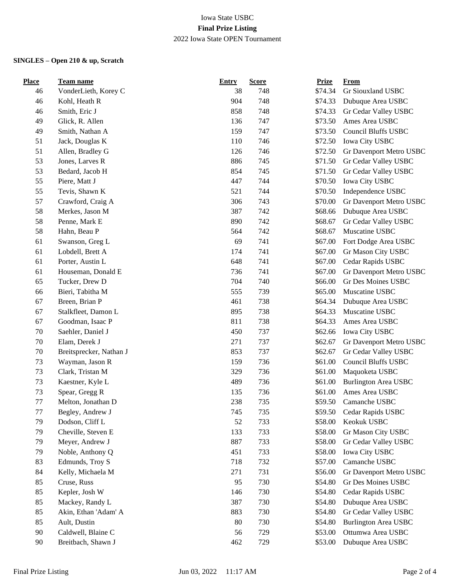| <b>Place</b> | <b>Team name</b>        | <b>Entry</b> | <b>Score</b> | <b>Prize</b> | <b>From</b>                 |
|--------------|-------------------------|--------------|--------------|--------------|-----------------------------|
| 46           | VonderLieth, Korey C    | 38           | 748          | \$74.34      | Gr Siouxland USBC           |
| 46           | Kohl, Heath R           | 904          | 748          | \$74.33      | Dubuque Area USBC           |
| 46           | Smith, Eric J           | 858          | 748          | \$74.33      | Gr Cedar Valley USBC        |
| 49           | Glick, R. Allen         | 136          | 747          | \$73.50      | Ames Area USBC              |
| 49           | Smith, Nathan A         | 159          | 747          | \$73.50      | <b>Council Bluffs USBC</b>  |
| 51           | Jack, Douglas K         | 110          | 746          | \$72.50      | Iowa City USBC              |
| 51           | Allen, Bradley G        | 126          | 746          | \$72.50      | Gr Davenport Metro USBC     |
| 53           | Jones, Larves R         | 886          | 745          | \$71.50      | Gr Cedar Valley USBC        |
| 53           | Bedard, Jacob H         | 854          | 745          | \$71.50      | Gr Cedar Valley USBC        |
| 55           | Piere, Matt J           | 447          | 744          | \$70.50      | Iowa City USBC              |
| 55           | Tevis, Shawn K          | 521          | 744          | \$70.50      | Independence USBC           |
| 57           | Crawford, Craig A       | 306          | 743          | \$70.00      | Gr Davenport Metro USBC     |
| 58           | Merkes, Jason M         | 387          | 742          | \$68.66      | Dubuque Area USBC           |
| 58           | Penne, Mark E           | 890          | 742          | \$68.67      | Gr Cedar Valley USBC        |
| 58           | Hahn, Beau P            | 564          | 742          | \$68.67      | Muscatine USBC              |
| 61           | Swanson, Greg L         | 69           | 741          | \$67.00      | Fort Dodge Area USBC        |
| 61           | Lobdell, Brett A        | 174          | 741          | \$67.00      | Gr Mason City USBC          |
| 61           | Porter, Austin L        | 648          | 741          | \$67.00      | Cedar Rapids USBC           |
| 61           | Houseman, Donald E      | 736          | 741          | \$67.00      | Gr Davenport Metro USBC     |
| 65           | Tucker, Drew D          | 704          | 740          | \$66.00      | Gr Des Moines USBC          |
| 66           | Bieri, Tabitha M        | 555          | 739          | \$65.00      | Muscatine USBC              |
| 67           | Breen, Brian P          | 461          | 738          | \$64.34      | Dubuque Area USBC           |
| 67           | Stalkfleet, Damon L     | 895          | 738          | \$64.33      | Muscatine USBC              |
| 67           | Goodman, Isaac P        | 811          | 738          | \$64.33      | Ames Area USBC              |
| 70           | Saehler, Daniel J       | 450          | 737          | \$62.66      | Iowa City USBC              |
| 70           | Elam, Derek J           | 271          | 737          | \$62.67      | Gr Davenport Metro USBC     |
| 70           | Breitsprecker, Nathan J | 853          | 737          | \$62.67      | Gr Cedar Valley USBC        |
| 73           | Wayman, Jason R         | 159          | 736          | \$61.00      | <b>Council Bluffs USBC</b>  |
| 73           | Clark, Tristan M        | 329          | 736          | \$61.00      | Maquoketa USBC              |
| 73           | Kaestner, Kyle L        | 489          | 736          | \$61.00      | Burlington Area USBC        |
| 73           | Spear, Gregg R          | 135          | 736          | \$61.00      | Ames Area USBC              |
| 77           | Melton, Jonathan D      | 238          | 735          | \$59.50      | Camanche USBC               |
| $77 \,$      | Begley, Andrew J        | 745          | 735          | \$59.50      | Cedar Rapids USBC           |
| 79           | Dodson, Cliff L         | 52           | 733          | \$58.00      | Keokuk USBC                 |
| 79           | Cheville, Steven E      | 133          | 733          | \$58.00      | Gr Mason City USBC          |
| 79           | Meyer, Andrew J         | 887          | 733          | \$58.00      | Gr Cedar Valley USBC        |
| 79           | Noble, Anthony Q        | 451          | 733          | \$58.00      | Iowa City USBC              |
| 83           | Edmunds, Troy S         | 718          | 732          | \$57.00      | Camanche USBC               |
| 84           | Kelly, Michaela M       | 271          | 731          | \$56.00      | Gr Davenport Metro USBC     |
| 85           | Cruse, Russ             | 95           | 730          | \$54.80      | Gr Des Moines USBC          |
| 85           | Kepler, Josh W          | 146          | 730          | \$54.80      | Cedar Rapids USBC           |
| 85           | Mackey, Randy L         | 387          | 730          | \$54.80      | Dubuque Area USBC           |
| 85           | Akin, Ethan 'Adam' A    | 883          | 730          | \$54.80      | Gr Cedar Valley USBC        |
| 85           | Ault, Dustin            | 80           | 730          | \$54.80      | <b>Burlington Area USBC</b> |
| 90           | Caldwell, Blaine C      | 56           | 729          | \$53.00      | Ottumwa Area USBC           |
| 90           | Breitbach, Shawn J      | 462          | 729          | \$53.00      | Dubuque Area USBC           |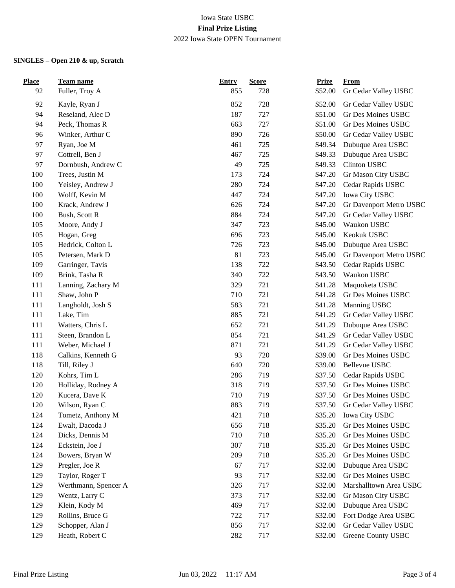| <b>Place</b> | Team name            | <b>Entry</b> | <b>Score</b> | <b>Prize</b> | <b>From</b>             |
|--------------|----------------------|--------------|--------------|--------------|-------------------------|
| 92           | Fuller, Troy A       | 855          | 728          | \$52.00      | Gr Cedar Valley USBC    |
| 92           | Kayle, Ryan J        | 852          | 728          | \$52.00      | Gr Cedar Valley USBC    |
| 94           | Reseland, Alec D     | 187          | 727          | \$51.00      | Gr Des Moines USBC      |
| 94           | Peck, Thomas R       | 663          | 727          | \$51.00      | Gr Des Moines USBC      |
| 96           | Winker, Arthur C     | 890          | 726          | \$50.00      | Gr Cedar Valley USBC    |
| 97           | Ryan, Joe M          | 461          | 725          | \$49.34      | Dubuque Area USBC       |
| 97           | Cottrell, Ben J      | 467          | 725          | \$49.33      | Dubuque Area USBC       |
| 97           | Dornbush, Andrew C   | 49           | 725          | \$49.33      | Clinton USBC            |
| 100          | Trees, Justin M      | 173          | 724          | \$47.20      | Gr Mason City USBC      |
| 100          | Yeisley, Andrew J    | 280          | 724          | \$47.20      | Cedar Rapids USBC       |
| 100          | Wolff, Kevin M       | 447          | 724          | \$47.20      | Iowa City USBC          |
| 100          | Krack, Andrew J      | 626          | 724          | \$47.20      | Gr Davenport Metro USBC |
| 100          | Bush, Scott R        | 884          | 724          | \$47.20      | Gr Cedar Valley USBC    |
| 105          | Moore, Andy J        | 347          | 723          | \$45.00      | Waukon USBC             |
| 105          | Hogan, Greg          | 696          | 723          | \$45.00      | Keokuk USBC             |
| 105          | Hedrick, Colton L    | 726          | 723          | \$45.00      | Dubuque Area USBC       |
| 105          | Petersen, Mark D     | 81           | 723          | \$45.00      | Gr Davenport Metro USBC |
| 109          | Garringer, Tavis     | 138          | 722          | \$43.50      | Cedar Rapids USBC       |
| 109          | Brink, Tasha R       | 340          | 722          | \$43.50      | Waukon USBC             |
| 111          | Lanning, Zachary M   | 329          | 721          | \$41.28      | Maquoketa USBC          |
| 111          | Shaw, John P         | 710          | 721          | \$41.28      | Gr Des Moines USBC      |
| 111          | Langholdt, Josh S    | 583          | 721          | \$41.28      | Manning USBC            |
| 111          | Lake, Tim            | 885          | 721          | \$41.29      | Gr Cedar Valley USBC    |
| 111          | Watters, Chris L     | 652          | 721          | \$41.29      | Dubuque Area USBC       |
| 111          | Steen, Brandon L     | 854          | 721          | \$41.29      | Gr Cedar Valley USBC    |
| 111          | Weber, Michael J     | 871          | 721          | \$41.29      | Gr Cedar Valley USBC    |
| 118          | Calkins, Kenneth G   | 93           | 720          | \$39.00      | Gr Des Moines USBC      |
| 118          | Till, Riley J        | 640          | 720          | \$39.00      | <b>Bellevue USBC</b>    |
| 120          | Kohrs, Tim L         | 286          | 719          | \$37.50      | Cedar Rapids USBC       |
| 120          | Holliday, Rodney A   | 318          | 719          | \$37.50      | Gr Des Moines USBC      |
| 120          | Kucera, Dave K       | 710          | 719          | \$37.50      | Gr Des Moines USBC      |
| 120          | Wilson, Ryan C       | 883          | 719          | \$37.50      | Gr Cedar Valley USBC    |
| 124          | Tometz, Anthony M    | 421          | 718          | \$35.20      | Iowa City USBC          |
| 124          | Ewalt, Dacoda J      | 656          | 718          | \$35.20      | Gr Des Moines USBC      |
| 124          | Dicks, Dennis M      | 710          | 718          | \$35.20      | Gr Des Moines USBC      |
| 124          | Eckstein, Joe J      | 307          | 718          | \$35.20      | Gr Des Moines USBC      |
| 124          | Bowers, Bryan W      | 209          | 718          | \$35.20      | Gr Des Moines USBC      |
| 129          | Pregler, Joe R       | 67           | 717          | \$32.00      | Dubuque Area USBC       |
| 129          | Taylor, Roger T      | 93           | 717          | \$32.00      | Gr Des Moines USBC      |
| 129          | Werthmann, Spencer A | 326          | 717          | \$32.00      | Marshalltown Area USBC  |
| 129          | Wentz, Larry C       | 373          | 717          | \$32.00      | Gr Mason City USBC      |
| 129          | Klein, Kody M        | 469          | 717          | \$32.00      | Dubuque Area USBC       |
| 129          | Rollins, Bruce G     | 722          | 717          | \$32.00      | Fort Dodge Area USBC    |
| 129          | Schopper, Alan J     | 856          | 717          | \$32.00      | Gr Cedar Valley USBC    |
| 129          | Heath, Robert C      | 282          | 717          | \$32.00      | Greene County USBC      |